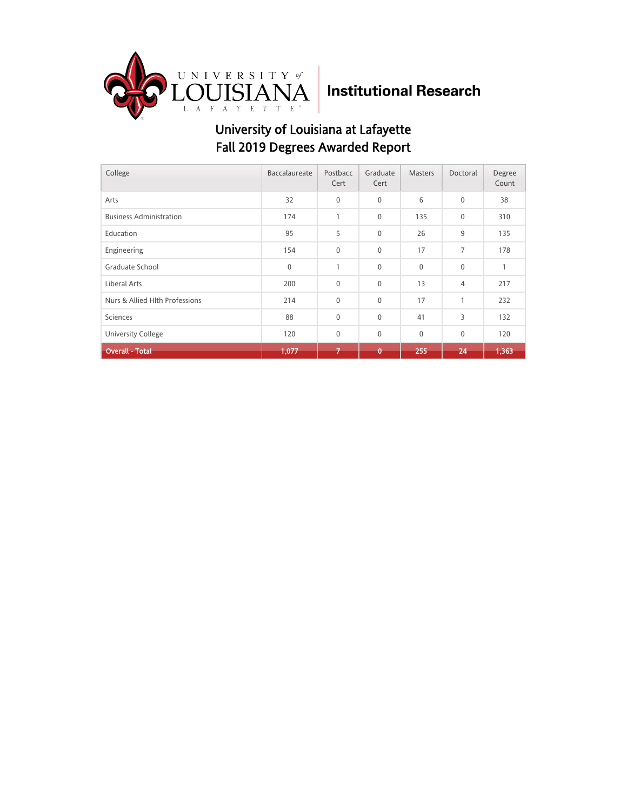

| College                        | Baccalaureate | Postbacc<br>Cert | Graduate<br>Cert | <b>Masters</b> | Doctoral    | Degree<br>Count |
|--------------------------------|---------------|------------------|------------------|----------------|-------------|-----------------|
| Arts                           | 32            | $\mathbf 0$      | $\mathbf{0}$     | 6              | $\mathbf 0$ | 38              |
| <b>Business Administration</b> | 174           | $\mathbf{1}$     | $\mathbf 0$      | 135            | $\mathbf 0$ | 310             |
| Education                      | 95            | 5                | $\Omega$         | 26             | 9           | 135             |
| Engineering                    | 154           | $\mathbf{0}$     | $\mathbf 0$      | 17             | 7           | 178             |
| Graduate School                | $\mathbf{0}$  | $\mathbf{1}$     | $\mathbf{0}$     | $\mathbf{0}$   | $\mathbf 0$ |                 |
| Liberal Arts                   | 200           | $\mathbf{0}$     | $\mathbf 0$      | 13             | 4           | 217             |
| Nurs & Allied Hith Professions | 214           | $\mathbf{0}$     | 0                | 17             | 1           | 232             |
| Sciences                       | 88            | $\mathbf{0}$     | $\mathbf 0$      | 41             | 3           | 132             |
| <b>University College</b>      | 120           | $\mathbf{0}$     | $\mathbf 0$      | $\mathbf{0}$   | $\mathbf 0$ | 120             |
| <b>Overall - Total</b>         | 1,077         | $\overline{ }$   | Ō                | 255            | 24          | 1,363           |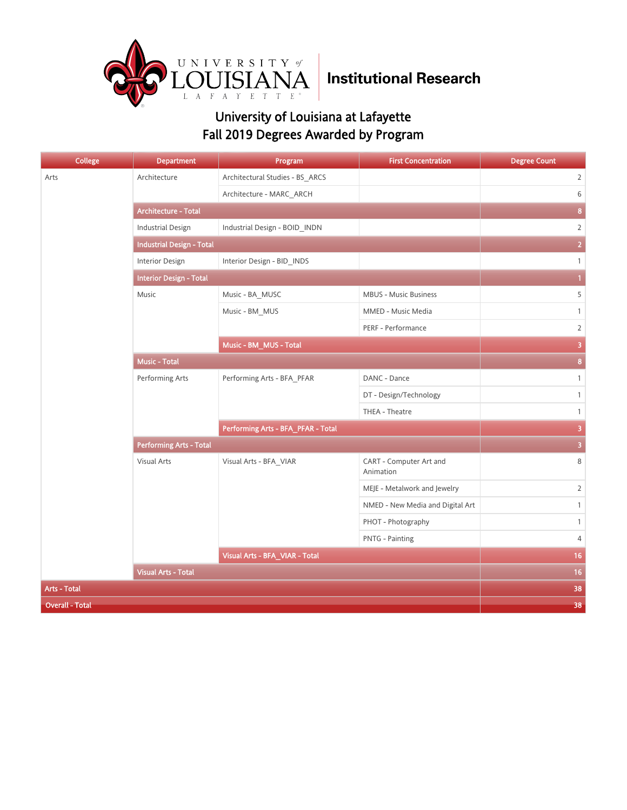

| <b>College</b>         | <b>Department</b>                | Program                            | <b>First Concentration</b>           | <b>Degree Count</b>     |
|------------------------|----------------------------------|------------------------------------|--------------------------------------|-------------------------|
| Arts                   | Architecture                     | Architectural Studies - BS_ARCS    |                                      | $\overline{2}$          |
|                        |                                  | Architecture - MARC ARCH           |                                      | 6                       |
|                        | <b>Architecture - Total</b>      | 8                                  |                                      |                         |
|                        | <b>Industrial Design</b>         | Industrial Design - BOID_INDN      |                                      | $\overline{2}$          |
|                        | <b>Industrial Design - Total</b> | $\overline{2}$                     |                                      |                         |
|                        | Interior Design                  | Interior Design - BID_INDS         |                                      | $\mathbf{1}$            |
|                        | <b>Interior Design - Total</b>   | $\mathbf{1}$                       |                                      |                         |
|                        | Music                            | Music - BA_MUSC                    | MBUS - Music Business                | 5                       |
|                        |                                  | Music - BM_MUS                     | MMED - Music Media                   | $\mathbf{1}$            |
|                        |                                  |                                    | PERF - Performance                   | $\overline{2}$          |
|                        | Music - BM_MUS - Total           |                                    |                                      | $\overline{\mathbf{3}}$ |
|                        | <b>Music - Total</b>             | $\overline{\mathbf{8}}$            |                                      |                         |
|                        | Performing Arts                  | Performing Arts - BFA_PFAR         | DANC - Dance                         | $\mathbf{1}$            |
|                        |                                  |                                    | DT - Design/Technology               | $\mathbf{1}$            |
|                        |                                  |                                    | THEA - Theatre                       | $\mathbf{1}$            |
|                        |                                  | Performing Arts - BFA_PFAR - Total | $\overline{\mathbf{3}}$              |                         |
|                        | <b>Performing Arts - Total</b>   | $\overline{\mathbf{3}}$            |                                      |                         |
|                        | Visual Arts                      | Visual Arts - BFA_VIAR             | CART - Computer Art and<br>Animation | 8                       |
|                        |                                  |                                    | MEJE - Metalwork and Jewelry         | $\overline{2}$          |
|                        |                                  |                                    | NMED - New Media and Digital Art     | $\mathbf{1}$            |
|                        |                                  |                                    | PHOT - Photography                   | $\mathbf{1}$            |
|                        |                                  |                                    | PNTG - Painting                      | 4                       |
|                        |                                  | Visual Arts - BFA_VIAR - Total     |                                      | 16 <sup>°</sup>         |
|                        | <b>Visual Arts - Total</b>       |                                    |                                      | 16                      |
| <b>Arts - Total</b>    | 38                               |                                    |                                      |                         |
| <b>Overall - Total</b> | 38                               |                                    |                                      |                         |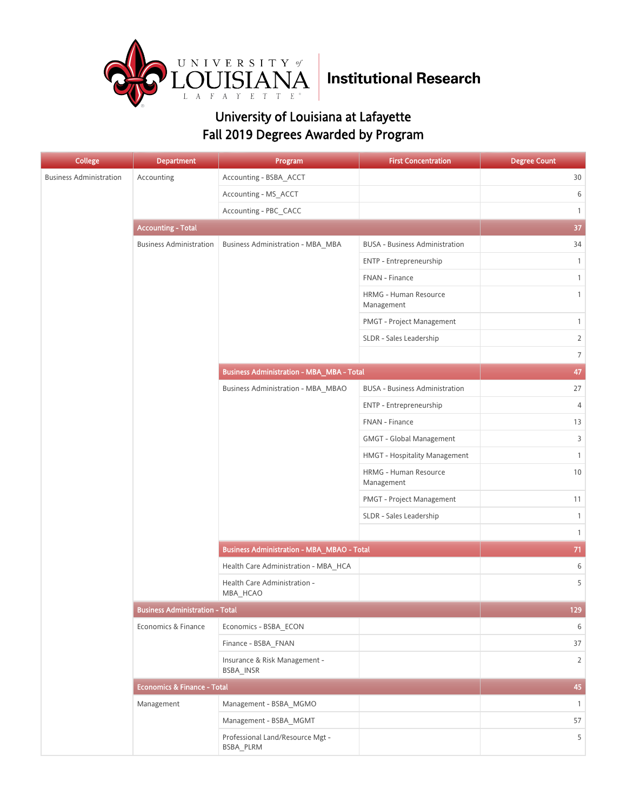

| <b>College</b>                 | <b>Department</b>                      | Program                                           | <b>First Concentration</b>            | <b>Degree Count</b> |
|--------------------------------|----------------------------------------|---------------------------------------------------|---------------------------------------|---------------------|
| <b>Business Administration</b> | Accounting                             | Accounting - BSBA_ACCT                            |                                       | 30                  |
|                                |                                        | Accounting - MS_ACCT                              |                                       | 6                   |
|                                |                                        | Accounting - PBC CACC                             |                                       | $\mathbf{1}$        |
|                                | <b>Accounting - Total</b>              |                                                   |                                       | 37                  |
|                                | <b>Business Administration</b>         | <b>Business Administration - MBA_MBA</b>          | <b>BUSA - Business Administration</b> | 34                  |
|                                |                                        |                                                   | ENTP - Entrepreneurship               | $\mathbf{1}$        |
|                                |                                        |                                                   | FNAN - Finance                        | $\mathbf{1}$        |
|                                |                                        |                                                   | HRMG - Human Resource<br>Management   | $\mathbf{1}$        |
|                                |                                        |                                                   | PMGT - Project Management             | $\mathbf{1}$        |
|                                |                                        |                                                   | SLDR - Sales Leadership               | $\overline{2}$      |
|                                |                                        |                                                   |                                       | $\overline{7}$      |
|                                |                                        | <b>Business Administration - MBA_MBA - Total</b>  |                                       | 47                  |
|                                |                                        | Business Administration - MBA_MBAO                | <b>BUSA - Business Administration</b> | 27                  |
|                                |                                        |                                                   | ENTP - Entrepreneurship               | $\overline{4}$      |
|                                |                                        |                                                   | FNAN - Finance                        | 13                  |
|                                |                                        |                                                   | <b>GMGT - Global Management</b>       | 3                   |
|                                |                                        |                                                   | HMGT - Hospitality Management         | $\mathbf{1}$        |
|                                |                                        |                                                   | HRMG - Human Resource<br>Management   | 10                  |
|                                |                                        |                                                   | PMGT - Project Management             | 11                  |
|                                |                                        |                                                   | SLDR - Sales Leadership               | $\mathbf{1}$        |
|                                |                                        |                                                   |                                       | $\mathbf{1}$        |
|                                |                                        | <b>Business Administration - MBA_MBAO - Total</b> |                                       | 71                  |
|                                |                                        | Health Care Administration - MBA_HCA              |                                       | 6                   |
|                                |                                        | Health Care Administration -<br>MBA_HCAO          |                                       | 5                   |
|                                | <b>Business Administration - Total</b> |                                                   |                                       | 129                 |
|                                | Economics & Finance                    | Economics - BSBA ECON                             |                                       | 6                   |
|                                |                                        | Finance - BSBA FNAN                               |                                       | 37                  |
|                                |                                        | Insurance & Risk Management -<br>BSBA INSR        |                                       | $\overline{2}$      |
|                                | <b>Economics &amp; Finance - Total</b> |                                                   |                                       | 45                  |
|                                | Management                             | Management - BSBA_MGMO                            |                                       | $\mathbf{1}$        |
|                                |                                        | Management - BSBA_MGMT                            |                                       | 57                  |
|                                |                                        | Professional Land/Resource Mgt -<br>BSBA_PLRM     |                                       | 5                   |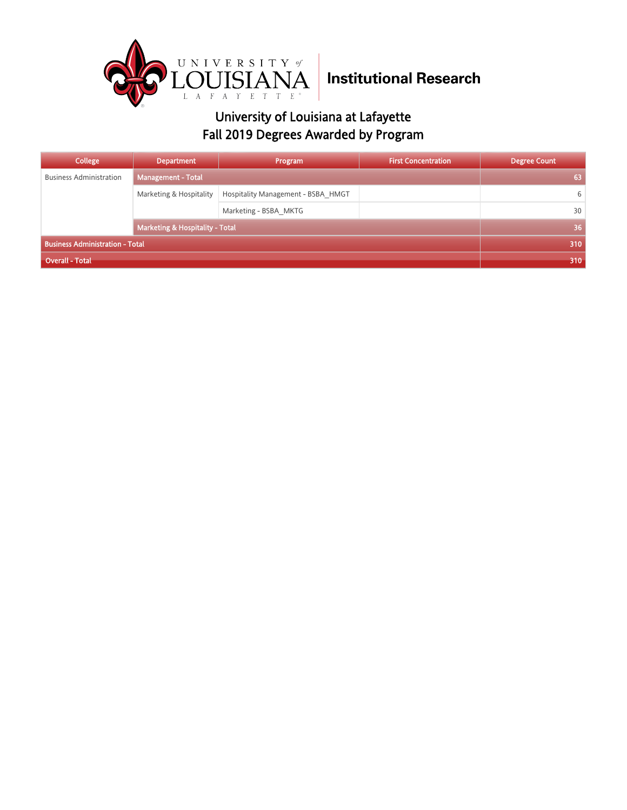

| College                                | <b>Department</b>                          | Program                            | <b>First Concentration</b> | <b>Degree Count</b> |
|----------------------------------------|--------------------------------------------|------------------------------------|----------------------------|---------------------|
| <b>Business Administration</b>         | <b>Management - Total</b>                  |                                    |                            | 63                  |
|                                        | Marketing & Hospitality                    | Hospitality Management - BSBA HMGT |                            | 6                   |
|                                        |                                            | Marketing - BSBA MKTG              |                            | 30                  |
|                                        | <b>Marketing &amp; Hospitality - Total</b> |                                    |                            | 36                  |
| <b>Business Administration - Total</b> |                                            |                                    |                            | 310                 |
| <b>Overall - Total</b>                 |                                            |                                    | 310                        |                     |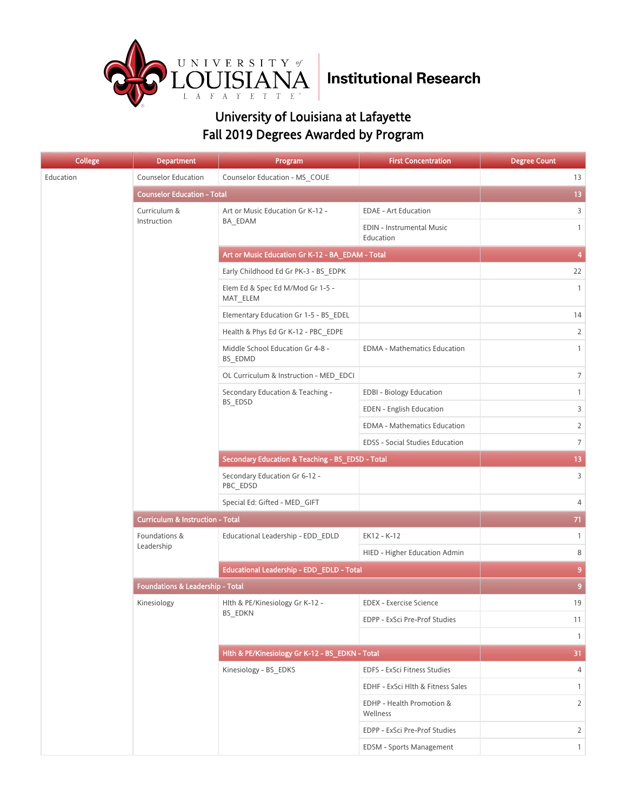

| <b>College</b> | <b>Department</b>                           | Program                                          | <b>First Concentration</b>             | <b>Degree Count</b> |
|----------------|---------------------------------------------|--------------------------------------------------|----------------------------------------|---------------------|
| Education      | <b>Counselor Education</b>                  | Counselor Education - MS COUE                    |                                        | 13                  |
|                | <b>Counselor Education - Total</b>          |                                                  |                                        | 13                  |
|                | Curriculum &                                | Art or Music Education Gr K-12 -                 | <b>EDAE - Art Education</b>            | 3                   |
|                | Instruction                                 | BA_EDAM                                          | EDIN - Instrumental Music<br>Education | $\mathbf{1}$        |
|                |                                             | Art or Music Education Gr K-12 - BA_EDAM - Total |                                        | 4                   |
|                |                                             | Early Childhood Ed Gr PK-3 - BS EDPK             |                                        | 22                  |
|                |                                             | Elem Ed & Spec Ed M/Mod Gr 1-5 -<br>MAT_ELEM     |                                        | $\mathbf{1}$        |
|                |                                             | Elementary Education Gr 1-5 - BS_EDEL            |                                        | 14                  |
|                |                                             | Health & Phys Ed Gr K-12 - PBC EDPE              |                                        | $\overline{2}$      |
|                |                                             | Middle School Education Gr 4-8 -<br>BS EDMD      | <b>EDMA - Mathematics Education</b>    | $\mathbf{1}$        |
|                |                                             | OL Curriculum & Instruction - MED EDCI           |                                        | $\overline{7}$      |
|                |                                             | Secondary Education & Teaching -                 | <b>EDBI - Biology Education</b>        | $\mathbf{1}$        |
|                |                                             | BS EDSD                                          | <b>EDEN</b> - English Education        | 3                   |
|                |                                             |                                                  | <b>EDMA - Mathematics Education</b>    | $\overline{2}$      |
|                |                                             |                                                  | EDSS - Social Studies Education        | $\overline{7}$      |
|                |                                             | Secondary Education & Teaching - BS_EDSD - Total | 13 <sup>°</sup>                        |                     |
|                |                                             | Secondary Education Gr 6-12 -<br>PBC EDSD        |                                        | 3                   |
|                |                                             | Special Ed: Gifted - MED_GIFT                    |                                        | 4                   |
|                | <b>Curriculum &amp; Instruction - Total</b> | 71                                               |                                        |                     |
|                | Foundations &                               | Educational Leadership - EDD_EDLD                | EK12 - K-12                            | $\mathbf{1}$        |
|                | Leadership                                  |                                                  | HIED - Higher Education Admin          | 8                   |
|                |                                             | Educational Leadership - EDD_EDLD - Total        | 9                                      |                     |
|                | <b>Foundations &amp; Leadership - Total</b> |                                                  |                                        | $\overline{9}$      |
|                | Kinesiology                                 | Hlth & PE/Kinesiology Gr K-12 -                  | <b>EDEX - Exercise Science</b>         | 19                  |
|                |                                             | BS_EDKN                                          | EDPP - ExSci Pre-Prof Studies          | 11                  |
|                |                                             |                                                  |                                        | $\mathbf{1}$        |
|                |                                             | Hlth & PE/Kinesiology Gr K-12 - BS_EDKN - Total  |                                        | 31                  |
|                |                                             | Kinesiology - BS_EDKS                            | EDFS - ExSci Fitness Studies           | 4                   |
|                |                                             |                                                  | EDHF - ExSci Hlth & Fitness Sales      | $\mathbf{1}$        |
|                |                                             |                                                  | EDHP - Health Promotion &<br>Wellness  | $\overline{2}$      |
|                |                                             |                                                  | EDPP - ExSci Pre-Prof Studies          | $\overline{2}$      |
|                |                                             |                                                  | EDSM - Sports Management               | $\mathbf{1}$        |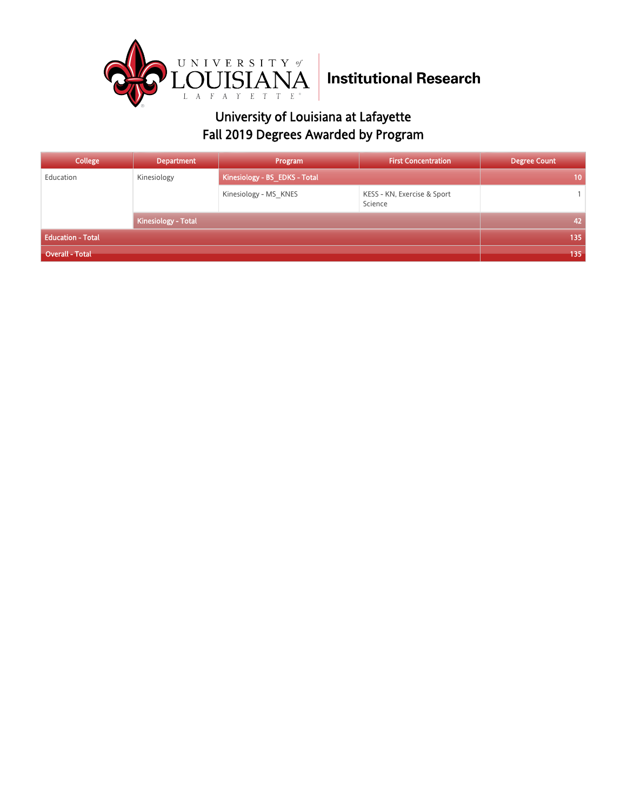

| College                  | <b>Department</b>          | Program                       | <b>First Concentration</b>             | <b>Degree Count</b> |
|--------------------------|----------------------------|-------------------------------|----------------------------------------|---------------------|
| Education                | Kinesiology                | Kinesiology - BS_EDKS - Total |                                        | 10                  |
|                          |                            | Kinesiology - MS KNES         | KESS - KN, Exercise & Sport<br>Science |                     |
|                          | <b>Kinesiology - Total</b> |                               |                                        | 42                  |
| <b>Education - Total</b> |                            |                               |                                        | 135                 |
| <b>Overall - Total</b>   |                            |                               |                                        | 135                 |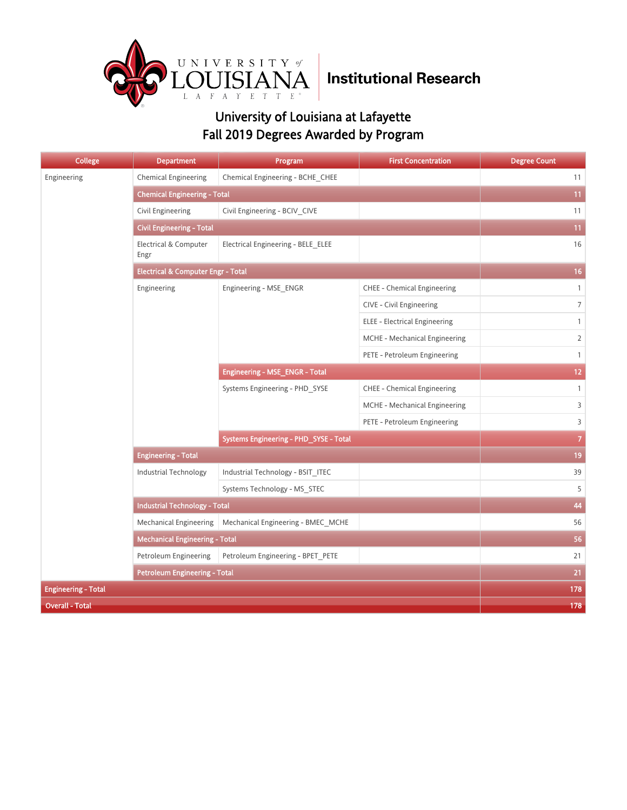

| <b>College</b>             | <b>Department</b>                             | Program                                | <b>First Concentration</b>         | <b>Degree Count</b> |
|----------------------------|-----------------------------------------------|----------------------------------------|------------------------------------|---------------------|
| Engineering                | <b>Chemical Engineering</b>                   | Chemical Engineering - BCHE_CHEE       |                                    | 11                  |
|                            | <b>Chemical Engineering - Total</b>           |                                        |                                    | 11                  |
|                            | Civil Engineering                             | Civil Engineering - BCIV CIVE          |                                    | 11                  |
|                            | <b>Civil Engineering - Total</b>              |                                        |                                    | 11                  |
|                            | <b>Electrical &amp; Computer</b><br>Engr      | Electrical Engineering - BELE ELEE     |                                    | 16                  |
|                            | <b>Electrical &amp; Computer Engr - Total</b> | 16                                     |                                    |                     |
|                            | Engineering                                   | Engineering - MSE_ENGR                 | <b>CHEE - Chemical Engineering</b> | $\mathbf{1}$        |
|                            |                                               |                                        | CIVE - Civil Engineering           | $\overline{7}$      |
|                            |                                               |                                        | ELEE - Electrical Engineering      | $\mathbf{1}$        |
|                            |                                               |                                        | MCHE - Mechanical Engineering      | $\overline{2}$      |
|                            |                                               |                                        | PETE - Petroleum Engineering       | $\mathbf{1}$        |
|                            |                                               | <b>Engineering - MSE_ENGR - Total</b>  | 12 <sub>2</sub>                    |                     |
|                            |                                               | Systems Engineering - PHD SYSE         | CHEE - Chemical Engineering        | $\mathbf{1}$        |
|                            |                                               |                                        | MCHE - Mechanical Engineering      | 3                   |
|                            |                                               |                                        | PETE - Petroleum Engineering       | 3                   |
|                            |                                               | Systems Engineering - PHD_SYSE - Total |                                    | $\overline{7}$      |
|                            | <b>Engineering - Total</b>                    |                                        |                                    | 19                  |
|                            | <b>Industrial Technology</b>                  | Industrial Technology - BSIT_ITEC      |                                    | 39                  |
|                            |                                               | Systems Technology - MS STEC           |                                    | 5                   |
|                            | <b>Industrial Technology - Total</b>          |                                        |                                    | 44                  |
|                            | <b>Mechanical Engineering</b>                 | Mechanical Engineering - BMEC_MCHE     |                                    | 56                  |
|                            | <b>Mechanical Engineering - Total</b>         |                                        |                                    | 56                  |
|                            | Petroleum Engineering                         | Petroleum Engineering - BPET_PETE      |                                    | 21                  |
|                            | <b>Petroleum Engineering - Total</b>          |                                        |                                    | 21                  |
| <b>Engineering - Total</b> | 178                                           |                                        |                                    |                     |
| <b>Overall - Total</b>     | 178                                           |                                        |                                    |                     |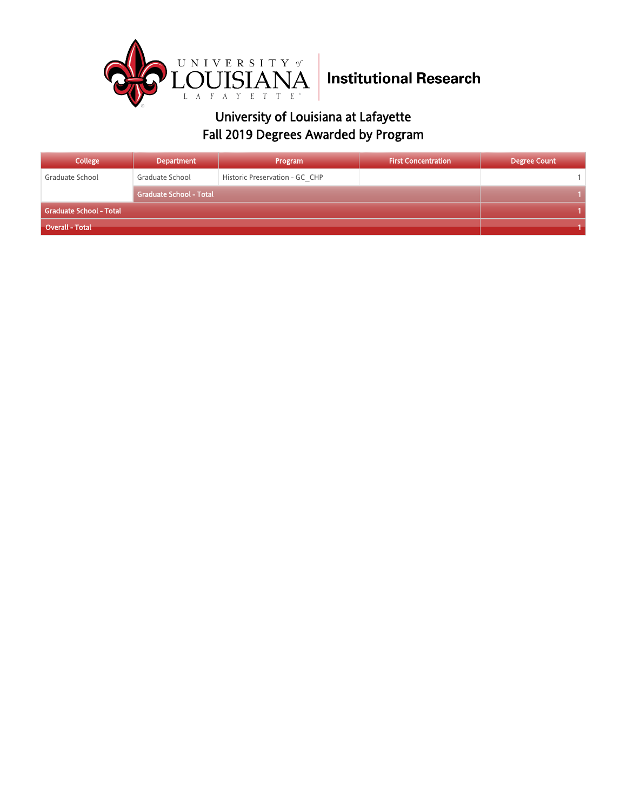

| College                 | Department                     | Program                        | <b>First Concentration</b> | <b>Degree Count</b> |
|-------------------------|--------------------------------|--------------------------------|----------------------------|---------------------|
| Graduate School         | Graduate School                | Historic Preservation - GC CHP |                            |                     |
|                         | <b>Graduate School - Total</b> |                                |                            |                     |
| Graduate School - Total |                                |                                |                            |                     |
| Overall - Total         |                                |                                |                            |                     |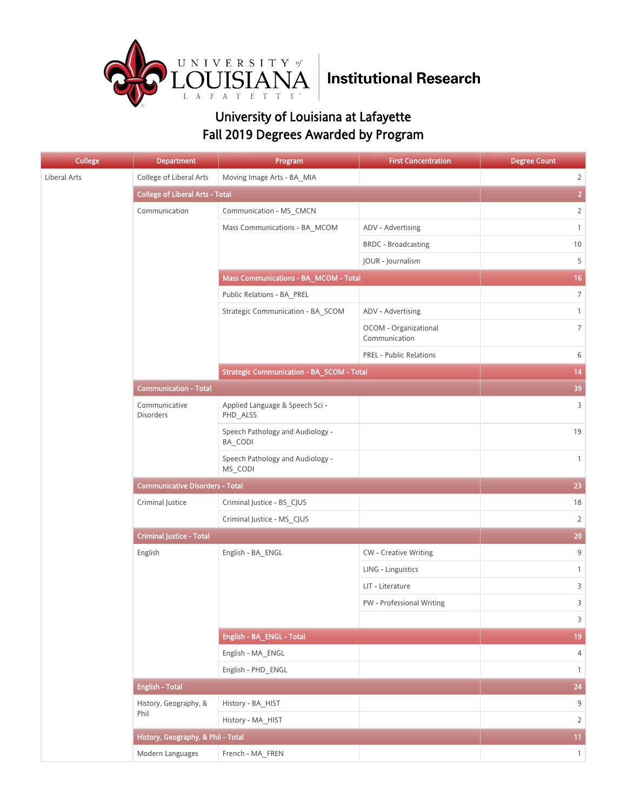

| College      | <b>Department</b>                      | Program                                          | <b>First Concentration</b>             | <b>Degree Count</b> |
|--------------|----------------------------------------|--------------------------------------------------|----------------------------------------|---------------------|
| Liberal Arts | College of Liberal Arts                | Moving Image Arts - BA MIA                       |                                        | $\overline{2}$      |
|              | <b>College of Liberal Arts - Total</b> |                                                  |                                        | $\overline{2}$      |
|              | Communication                          | Communication - MS_CMCN                          |                                        | $\overline{2}$      |
|              |                                        | Mass Communications - BA MCOM                    | ADV - Advertising                      | $\mathbf{1}$        |
|              |                                        |                                                  | <b>BRDC</b> - Broadcasting             | 10                  |
|              |                                        |                                                  | JOUR - Journalism                      | 5                   |
|              |                                        | <b>Mass Communications - BA_MCOM - Total</b>     |                                        | 16                  |
|              |                                        | Public Relations - BA_PREL                       |                                        | $\overline{7}$      |
|              |                                        | Strategic Communication - BA_SCOM                | ADV - Advertising                      | $\mathbf{1}$        |
|              |                                        |                                                  | OCOM - Organizational<br>Communication | $\overline{7}$      |
|              |                                        |                                                  | <b>PREL - Public Relations</b>         | 6                   |
|              |                                        | <b>Strategic Communication - BA_SCOM - Total</b> |                                        | 14                  |
|              | <b>Communication - Total</b>           |                                                  |                                        | 39                  |
|              | Communicative<br><b>Disorders</b>      | Applied Language & Speech Sci -<br>PHD_ALSS      |                                        | 3                   |
|              |                                        | Speech Pathology and Audiology -<br>BA CODI      |                                        | 19                  |
|              |                                        | Speech Pathology and Audiology -<br>MS_CODI      |                                        | $\mathbf{1}$        |
|              | <b>Communicative Disorders - Total</b> | 23                                               |                                        |                     |
|              | Criminal Justice                       | Criminal Justice - BS_CJUS                       |                                        | 18                  |
|              |                                        | Criminal Justice - MS CJUS                       |                                        | $\overline{2}$      |
|              | <b>Criminal Justice - Total</b>        |                                                  |                                        | 20                  |
|              | English                                | English - BA_ENGL                                | <b>CW</b> - Creative Writing           | 9                   |
|              |                                        |                                                  | LING - Linguistics                     | $\mathbf{1}$        |
|              |                                        |                                                  | LIT - Literature                       | 3                   |
|              |                                        |                                                  | PW - Professional Writing              | 3                   |
|              |                                        |                                                  |                                        | $\overline{3}$      |
|              |                                        | English - BA_ENGL - Total                        |                                        | 19                  |
|              |                                        | English - MA_ENGL                                |                                        | 4                   |
|              |                                        | English - PHD_ENGL                               |                                        | $\mathbf{1}$        |
|              | <b>English - Total</b>                 |                                                  |                                        | $24\,$              |
|              | History, Geography, &                  | History - BA_HIST                                |                                        | $9\,$               |
|              | Phil                                   | History - MA_HIST                                |                                        | $\overline{2}$      |
|              | History, Geography, & Phil - Total     |                                                  |                                        | 11                  |
|              | Modern Languages                       | French - MA_FREN                                 |                                        | $\overline{1}$      |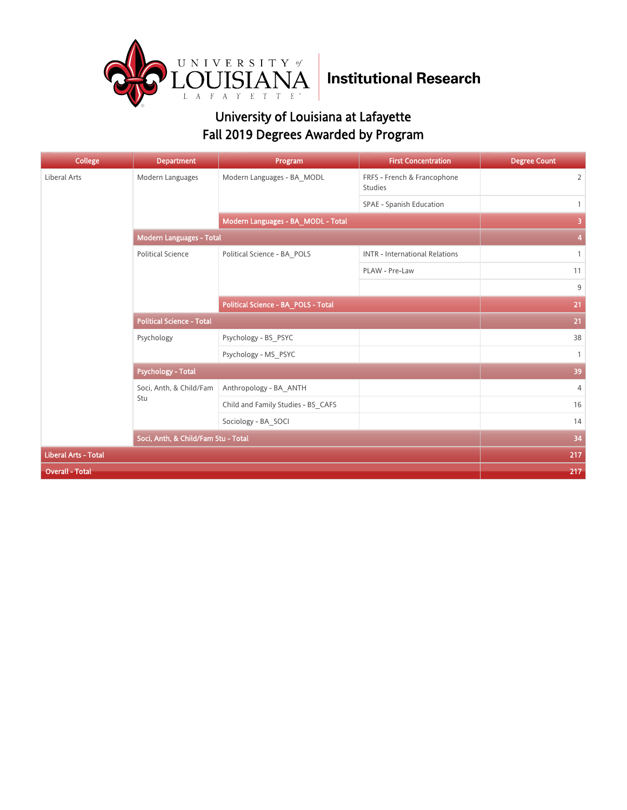

| <b>College</b>              | <b>Department</b>                   | Program                             | <b>First Concentration</b>                    | <b>Degree Count</b> |
|-----------------------------|-------------------------------------|-------------------------------------|-----------------------------------------------|---------------------|
| Liberal Arts                | Modern Languages                    | Modern Languages - BA MODL          | FRFS - French & Francophone<br><b>Studies</b> | $\overline{2}$      |
|                             |                                     |                                     | SPAE - Spanish Education                      | $\mathbf{1}$        |
|                             |                                     | Modern Languages - BA_MODL - Total  |                                               | 3                   |
|                             | Modern Languages - Total            |                                     |                                               | 4                   |
|                             | <b>Political Science</b>            | Political Science - BA_POLS         | <b>INTR - International Relations</b>         | $\mathbf{1}$        |
|                             |                                     |                                     | PLAW - Pre-Law                                | 11                  |
|                             |                                     |                                     |                                               | 9                   |
|                             |                                     | Political Science - BA_POLS - Total | 21                                            |                     |
|                             | <b>Political Science - Total</b>    | 21                                  |                                               |                     |
|                             | Psychology                          | Psychology - BS PSYC                |                                               | 38                  |
|                             |                                     | Psychology - MS_PSYC                |                                               | $\mathbf{1}$        |
|                             | <b>Psychology - Total</b>           | 39                                  |                                               |                     |
|                             | Soci, Anth, & Child/Fam             | Anthropology - BA ANTH              |                                               | $\overline{4}$      |
|                             | Stu                                 | Child and Family Studies - BS CAFS  |                                               | 16                  |
|                             |                                     | Sociology - BA SOCI                 |                                               | 14                  |
|                             | Soci, Anth, & Child/Fam Stu - Total | 34                                  |                                               |                     |
| <b>Liberal Arts - Total</b> |                                     |                                     |                                               | 217                 |
| <b>Overall - Total</b>      | 217                                 |                                     |                                               |                     |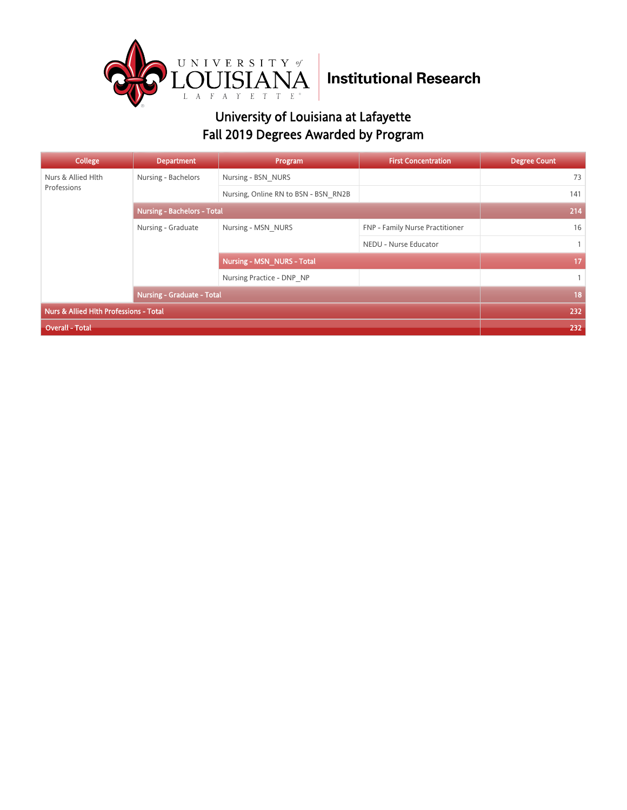

| College                                | <b>Department</b>                  | Program                              | <b>First Concentration</b>      | <b>Degree Count</b> |
|----------------------------------------|------------------------------------|--------------------------------------|---------------------------------|---------------------|
| Nurs & Allied Hlth<br>Professions      | Nursing - Bachelors                | Nursing - BSN NURS                   |                                 | 73                  |
|                                        |                                    | Nursing, Online RN to BSN - BSN RN2B |                                 | 141                 |
|                                        | <b>Nursing - Bachelors - Total</b> | 214                                  |                                 |                     |
|                                        | Nursing - Graduate                 | Nursing - MSN NURS                   | FNP - Family Nurse Practitioner | 16                  |
|                                        |                                    |                                      | NEDU - Nurse Educator           | $\mathbf{1}$        |
|                                        |                                    | <b>Nursing - MSN NURS - Total</b>    |                                 | 17                  |
|                                        |                                    | Nursing Practice - DNP NP            |                                 | $\mathbf{1}$        |
|                                        | <b>Nursing - Graduate - Total</b>  | 18                                   |                                 |                     |
| Nurs & Allied Hlth Professions - Total |                                    |                                      |                                 | 232                 |
| Overall - Total                        |                                    |                                      |                                 | 232                 |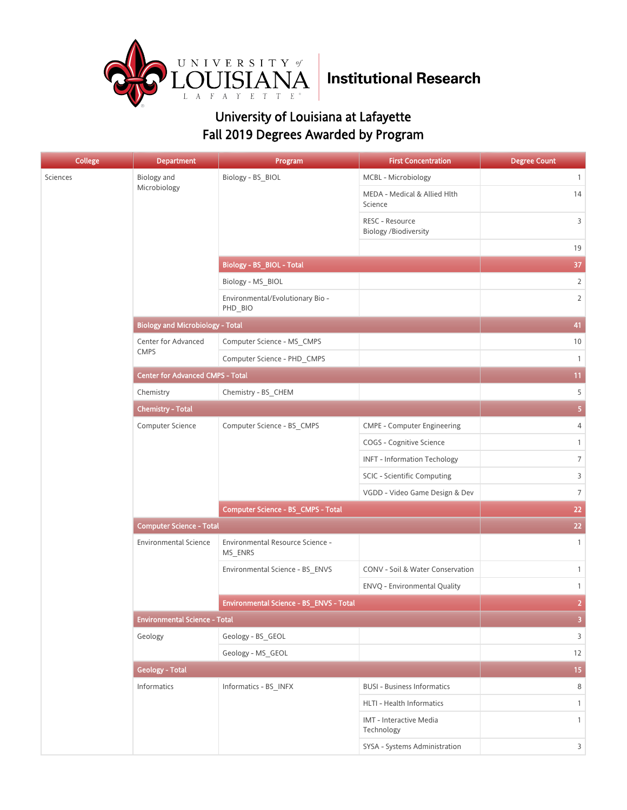

| <b>College</b> | <b>Department</b>                       | Program                                     | <b>First Concentration</b>                      | <b>Degree Count</b>     |
|----------------|-----------------------------------------|---------------------------------------------|-------------------------------------------------|-------------------------|
| Sciences       | Biology and                             | Biology - BS_BIOL                           | MCBL - Microbiology                             | $\mathbf{1}$            |
|                | Microbiology                            |                                             | MEDA - Medical & Allied Hlth<br>Science         | 14                      |
|                |                                         |                                             | RESC - Resource<br><b>Biology /Biodiversity</b> | 3                       |
|                |                                         |                                             |                                                 | 19                      |
|                |                                         | <b>Biology - BS_BIOL - Total</b>            |                                                 | 37                      |
|                |                                         | Biology - MS_BIOL                           |                                                 | $\overline{2}$          |
|                |                                         | Environmental/Evolutionary Bio -<br>PHD BIO |                                                 | $\overline{2}$          |
|                | <b>Biology and Microbiology - Total</b> |                                             |                                                 | 41                      |
|                | Center for Advanced                     | Computer Science - MS_CMPS                  |                                                 | 10                      |
|                | <b>CMPS</b>                             | Computer Science - PHD_CMPS                 |                                                 | $\mathbf{1}$            |
|                | <b>Center for Advanced CMPS - Total</b> | 11                                          |                                                 |                         |
|                | Chemistry                               | Chemistry - BS_CHEM                         |                                                 | 5                       |
|                | <b>Chemistry - Total</b>                | $\overline{\mathbf{5}}$                     |                                                 |                         |
|                | Computer Science                        | Computer Science - BS_CMPS                  | <b>CMPE - Computer Engineering</b>              | 4                       |
|                |                                         |                                             | COGS - Cognitive Science                        | $\mathbf{1}$            |
|                |                                         |                                             | <b>INFT - Information Techology</b>             | $\overline{7}$          |
|                |                                         |                                             | SCIC - Scientific Computing                     | 3                       |
|                |                                         |                                             | VGDD - Video Game Design & Dev                  | $\overline{7}$          |
|                |                                         | Computer Science - BS_CMPS - Total          | 22                                              |                         |
|                | <b>Computer Science - Total</b>         | 22                                          |                                                 |                         |
|                | <b>Environmental Science</b>            | Environmental Resource Science -<br>MS_ENRS |                                                 | $\mathbf{1}$            |
|                |                                         | Environmental Science - BS_ENVS             | CONV - Soil & Water Conservation                | $\mathbf{1}$            |
|                |                                         |                                             | ENVQ - Environmental Quality                    | $\mathbf{1}$            |
|                |                                         | Environmental Science - BS_ENVS - Total     |                                                 | $\overline{2}$          |
|                | <b>Environmental Science - Total</b>    |                                             |                                                 | $\overline{\mathbf{3}}$ |
|                | Geology                                 | Geology - BS_GEOL                           |                                                 | $\overline{3}$          |
|                |                                         | Geology - MS_GEOL                           |                                                 | 12                      |
|                | <b>Geology - Total</b>                  |                                             |                                                 | 15 <sub>15</sub>        |
|                | Informatics                             | Informatics - BS_INFX                       | <b>BUSI - Business Informatics</b>              | 8                       |
|                |                                         |                                             | HLTI - Health Informatics                       | $\mathbf{1}$            |
|                |                                         |                                             | IMT - Interactive Media<br>Technology           | $\mathbf{1}$            |
|                |                                         |                                             | SYSA - Systems Administration                   | $\overline{3}$          |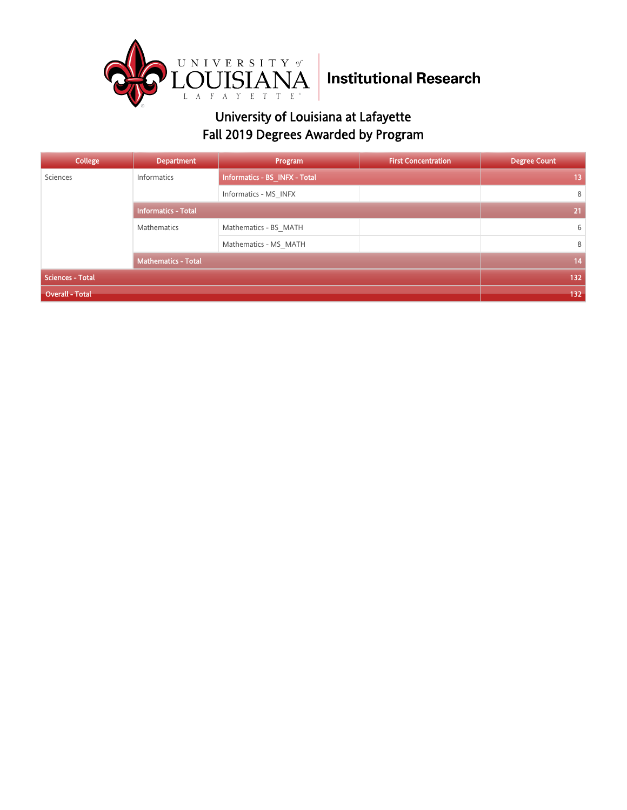

| College                 | <b>Department</b>          | Program                       | <b>First Concentration</b> | <b>Degree Count</b> |
|-------------------------|----------------------------|-------------------------------|----------------------------|---------------------|
| Sciences                | Informatics                | Informatics - BS_INFX - Total |                            | 13                  |
|                         |                            | Informatics - MS INFX         |                            | 8                   |
|                         | <b>Informatics - Total</b> |                               |                            | 21                  |
|                         | Mathematics                | Mathematics - BS MATH         |                            | 6                   |
|                         |                            | Mathematics - MS MATH         |                            | 8                   |
|                         | <b>Mathematics - Total</b> |                               |                            | 14                  |
| <b>Sciences - Total</b> | 132                        |                               |                            |                     |
| <b>Overall - Total</b>  | 132                        |                               |                            |                     |